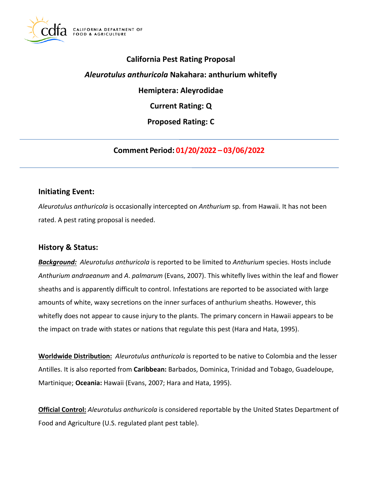

## **California Pest Rating Proposal**

#### *Aleurotulus anthuricola* **Nakahara: anthurium whitefly**

**Hemiptera: Aleyrodidae** 

**Current Rating: Q** 

**Proposed Rating: C** 

**Comment Period: 01/20/2022 – 03/06/2022**

#### **Initiating Event:**

*Aleurotulus anthuricola* is occasionally intercepted on *Anthurium* sp. from Hawaii. It has not been rated. A pest rating proposal is needed.

## **History & Status:**

*Background: Aleurotulus anthuricola* is reported to be limited to *Anthurium* species. Hosts include *Anthurium andraeanum* and *A*. *palmarum* (Evans, 2007). This whitefly lives within the leaf and flower sheaths and is apparently difficult to control. Infestations are reported to be associated with large amounts of white, waxy secretions on the inner surfaces of anthurium sheaths. However, this whitefly does not appear to cause injury to the plants. The primary concern in Hawaii appears to be the impact on trade with states or nations that regulate this pest (Hara and Hata, 1995).

**Worldwide Distribution:** *Aleurotulus anthuricola* is reported to be native to Colombia and the lesser Antilles. It is also reported from **Caribbean:** Barbados, Dominica, Trinidad and Tobago, Guadeloupe, Martinique; **Oceania:** Hawaii (Evans, 2007; Hara and Hata, 1995).

**Official Control:** *Aleurotulus anthuricola* is considered reportable by the United States Department of Food and Agriculture (U.S. regulated plant pest table).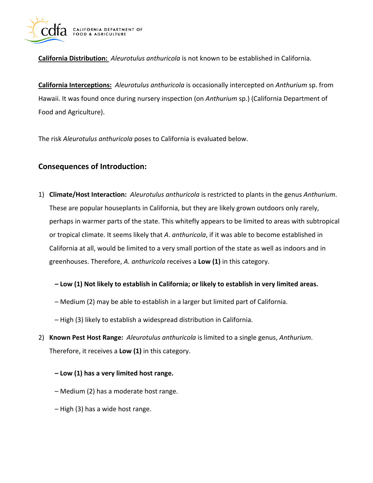

**California Distribution:** *Aleurotulus anthuricola* is not known to be established in California.

**California Interceptions:** *Aleurotulus anthuricola* is occasionally intercepted on *Anthurium* sp. from Hawaii. It was found once during nursery inspection (on *Anthurium* sp.) (California Department of Food and Agriculture).

The risk *Aleurotulus anthuricola* poses to California is evaluated below.

## **Consequences of Introduction:**

1) **Climate/Host Interaction:** *Aleurotulus anthuricola* is restricted to plants in the genus *Anthurium*. These are popular houseplants in California, but they are likely grown outdoors only rarely, perhaps in warmer parts of the state. This whitefly appears to be limited to areas with subtropical or tropical climate. It seems likely that *A*. *anthuricola*, if it was able to become established in California at all, would be limited to a very small portion of the state as well as indoors and in greenhouses. Therefore, *A. anthuricola* receives a **Low (1)** in this category.

#### **– Low (1) Not likely to establish in California; or likely to establish in very limited areas.**

- Medium (2) may be able to establish in a larger but limited part of California.
- High (3) likely to establish a widespread distribution in California.
- 2) **Known Pest Host Range:** *Aleurotulus anthuricola* is limited to a single genus, *Anthurium*. Therefore, it receives a **Low (1)** in this category.
	- **– Low (1) has a very limited host range.**
	- Medium (2) has a moderate host range.
	- High (3) has a wide host range.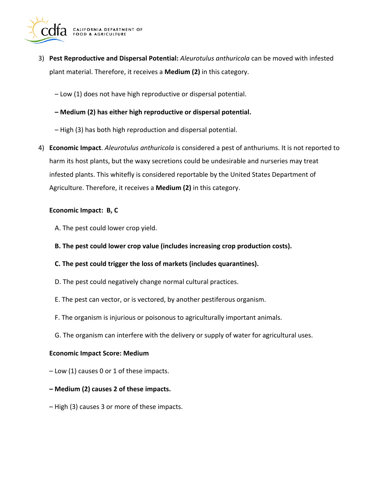

- 3) **Pest Reproductive and Dispersal Potential:** *Aleurotulus anthuricola* can be moved with infested plant material. Therefore, it receives a **Medium (2)** in this category.
	- Low (1) does not have high reproductive or dispersal potential.
	- **– Medium (2) has either high reproductive or dispersal potential.**
	- High (3) has both high reproduction and dispersal potential.
- 4) **Economic Impact**. *Aleurotulus anthuricola* is considered a pest of anthuriums. It is not reported to harm its host plants, but the waxy secretions could be undesirable and nurseries may treat infested plants. This whitefly is considered reportable by the United States Department of Agriculture. Therefore, it receives a **Medium (2)** in this category.

#### **Economic Impact: B, C**

- A. The pest could lower crop yield.
- **B. The pest could lower crop value (includes increasing crop production costs).**
- **C. The pest could trigger the loss of markets (includes quarantines).**
- D. The pest could negatively change normal cultural practices.
- E. The pest can vector, or is vectored, by another pestiferous organism.
- F. The organism is injurious or poisonous to agriculturally important animals.
- G. The organism can interfere with the delivery or supply of water for agricultural uses.

#### **Economic Impact Score: Medium**

- Low (1) causes 0 or 1 of these impacts.
- **– Medium (2) causes 2 of these impacts.**
- High (3) causes 3 or more of these impacts.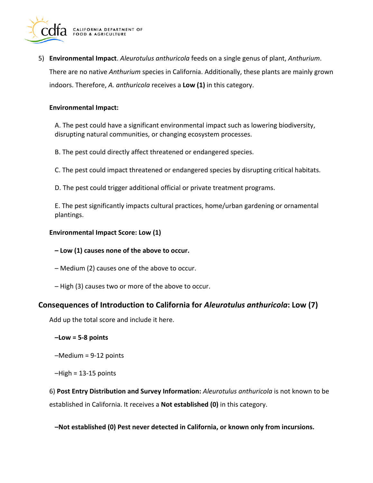

5) **Environmental Impact**. *Aleurotulus anthuricola* feeds on a single genus of plant, *Anthurium*. There are no native *Anthurium* species in California. Additionally, these plants are mainly grown indoors. Therefore, *A. anthuricola* receives a **Low (1)** in this category.

#### **Environmental Impact:**

A. The pest could have a significant environmental impact such as lowering biodiversity, disrupting natural communities, or changing ecosystem processes.

B. The pest could directly affect threatened or endangered species.

C. The pest could impact threatened or endangered species by disrupting critical habitats.

D. The pest could trigger additional official or private treatment programs.

E. The pest significantly impacts cultural practices, home/urban gardening or ornamental plantings.

#### **Environmental Impact Score: Low (1)**

- **– Low (1) causes none of the above to occur.**
- Medium (2) causes one of the above to occur.
- High (3) causes two or more of the above to occur.

## **Consequences of Introduction to California for** *Aleurotulus anthuricola***: Low (7)**

Add up the total score and include it here.

- **–Low = 5-8 points**
- –Medium = 9-12 points
- $-High = 13-15$  points

6) **Post Entry Distribution and Survey Information:** *Aleurotulus anthuricola* is not known to be established in California. It receives a **Not established (0)** in this category.

#### **–Not established (0) Pest never detected in California, or known only from incursions.**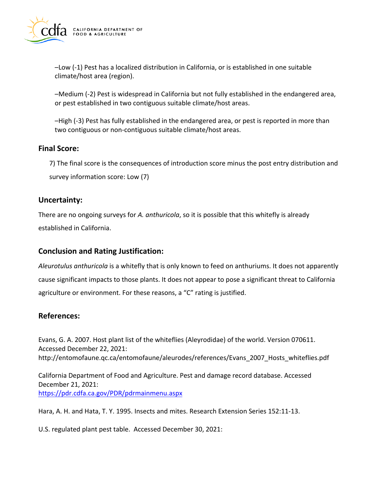

–Low (-1) Pest has a localized distribution in California, or is established in one suitable climate/host area (region).

–Medium (-2) Pest is widespread in California but not fully established in the endangered area, or pest established in two contiguous suitable climate/host areas.

–High (-3) Pest has fully established in the endangered area, or pest is reported in more than two contiguous or non-contiguous suitable climate/host areas.

## **Final Score:**

7) The final score is the consequences of introduction score minus the post entry distribution and survey information score: Low (7)

#### **Uncertainty:**

There are no ongoing surveys for *A. anthuricola*, so it is possible that this whitefly is already established in California.

## **Conclusion and Rating Justification:**

*Aleurotulus anthuricola* is a whitefly that is only known to feed on anthuriums. It does not apparently cause significant impacts to those plants. It does not appear to pose a significant threat to California agriculture or environment. For these reasons, a "C" rating is justified.

## **References:**

Evans, G. A. 2007. Host plant list of the whiteflies (Aleyrodidae) of the world. Version 070611. Accessed December 22, 2021: [http://entomofaune.qc.ca/entomofaune/aleurodes/references/Evans\\_2007\\_Hosts\\_whiteflies.pdf](http://entomofaune.qc.ca/entomofaune/aleurodes/references/Evans_2007_Hosts_whiteflies.pdf)

California Department of Food and Agriculture. Pest and damage record database. Accessed December 21, 2021: <https://pdr.cdfa.ca.gov/PDR/pdrmainmenu.aspx>

Hara, A. H. and Hata, T. Y. 1995. Insects and mites. Research Extension Series 152:11-13.

U.S. regulated plant pest table. Accessed December 30, 2021: